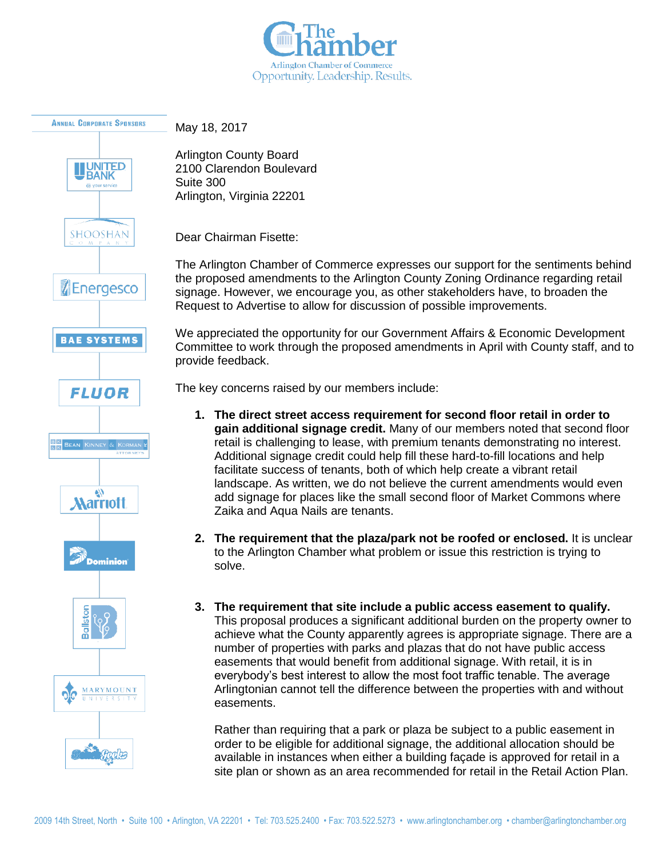



May 18, 2017

Arlington County Board 2100 Clarendon Boulevard Suite 300 Arlington, Virginia 22201

Dear Chairman Fisette:

The Arlington Chamber of Commerce expresses our support for the sentiments behind the proposed amendments to the Arlington County Zoning Ordinance regarding retail signage. However, we encourage you, as other stakeholders have, to broaden the Request to Advertise to allow for discussion of possible improvements.

We appreciated the opportunity for our Government Affairs & Economic Development Committee to work through the proposed amendments in April with County staff, and to provide feedback.

The key concerns raised by our members include:

- **1. The direct street access requirement for second floor retail in order to gain additional signage credit.** Many of our members noted that second floor retail is challenging to lease, with premium tenants demonstrating no interest. Additional signage credit could help fill these hard-to-fill locations and help facilitate success of tenants, both of which help create a vibrant retail landscape. As written, we do not believe the current amendments would even add signage for places like the small second floor of Market Commons where Zaika and Aqua Nails are tenants.
- **2. The requirement that the plaza/park not be roofed or enclosed.** It is unclear to the Arlington Chamber what problem or issue this restriction is trying to solve.
- **3. The requirement that site include a public access easement to qualify.**  This proposal produces a significant additional burden on the property owner to achieve what the County apparently agrees is appropriate signage. There are a number of properties with parks and plazas that do not have public access easements that would benefit from additional signage. With retail, it is in everybody's best interest to allow the most foot traffic tenable. The average Arlingtonian cannot tell the difference between the properties with and without easements.

Rather than requiring that a park or plaza be subject to a public easement in order to be eligible for additional signage, the additional allocation should be available in instances when either a building façade is approved for retail in a site plan or shown as an area recommended for retail in the Retail Action Plan.